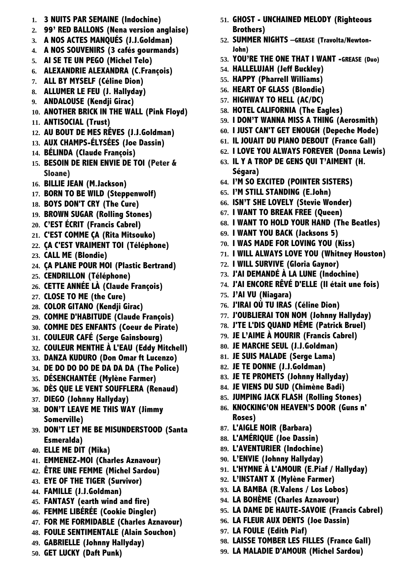- **1. 3 NUITS PAR SEMAINE (Indochine)**
- **2. 99' RED BALLONS (Nena version anglaise)**
- **3. A NOS ACTES MANQUÉS (J.J.Goldman)**
- **4. A NOS SOUVENIRS (3 cafés gourmands)**
- **5. AI SE TE UN PEGO (Michel Telo)**
- **6. ALEXANDRIE ALEXANDRA (C.François)**
- **7. ALL BY MYSELF (Céline Dion)**
- **8. ALLUMER LE FEU (J. Hallyday)**
- **9. ANDALOUSE (Kendji Girac)**
- **10. ANOTHER BRICK IN THE WALL (Pink Floyd)**
- **11. ANTISOCIAL (Trust)**
- **12. AU BOUT DE MES RÊVES (J.J.Goldman)**
- **13. AUX CHAMPS-ÉLYSÉES (Joe Dassin)**
- **14. BÉLINDA (Claude François)**
- **15. BESOIN DE RIEN ENVIE DE TOI (Peter & Sloane)**
- **16. BILLIE JEAN (M.Jackson)**
- **17. BORN TO BE WILD (Steppenwolf)**
- **18. BOYS DON'T CRY (The Cure)**
- **19. BROWN SUGAR (Rolling Stones)**
- **20. C'EST ÉCRIT (Francis Cabrel)**
- **21. C'EST COMME ÇA (Rita Mitsouko)**
- **22. ÇA C'EST VRAIMENT TOI (Téléphone)**
- **23. CALL ME (Blondie)**
- **24. ÇA PLANE POUR MOI (Plastic Bertrand)**
- **25. CENDRILLON (Téléphone)**
- **26. CETTE ANNÉE LÀ (Claude François)**
- **27. CLOSE TO ME (the Cure)**
- **28. COLOR GITANO (Kendji Girac)**
- **29. COMME D'HABITUDE (Claude François)**
- **30. COMME DES ENFANTS (Coeur de Pirate)**
- **31. COULEUR CAFÉ (Serge Gainsbourg)**
- **32. COULEUR MENTHE À L'EAU (Eddy Mitchell)**
- **33. DANZA KUDURO (Don Omar ft Lucenzo)**
- **34. DE DO DO DO DE DA DA DA (The Police)**
- **35. DÉSENCHANTÉE (Mylène Farmer)**
- **36. DÈS QUE LE VENT SOUFFLERA (Renaud)**
- **37. DIEGO (Johnny Hallyday)**
- **38. DON'T LEAVE ME THIS WAY (Jimmy Somerville)**
- **39. DON'T LET ME BE MISUNDERSTOOD (Santa Esmeralda)**
- **40. ELLE ME DIT (Mika)**
- **41. EMMENEZ-MOI (Charles Aznavour)**
- **42. ÊTRE UNE FEMME (Michel Sardou)**
- **43. EYE OF THE TIGER (Survivor)**
- **44. FAMILLE (J.J.Goldman)**
- **45. FANTASY (earth wind and fire)**
- **46. FEMME LIBÉRÉE (Cookie Dingler)**
- **47. FOR ME FORMIDABLE (Charles Aznavour)**
- **48. FOULE SENTIMENTALE (Alain Souchon)**
- **49. GABRIELLE (Johnny Hallyday)**
- **50. GET LUCKY (Daft Punk)**
- **51. GHOST UNCHAINED MELODY (Righteous Brothers)**
- **52. SUMMER NIGHTS –GREASE (Travolta/Newton-John)**
- **53. YOU'RE THE ONE THAT I WANT -GREASE (Duo)**
- **54. HALLELUJAH (Jeff Buckley)**
- **55. HAPPY (Pharrell Williams)**
- **56. HEART OF GLASS (Blondie)**
- **57. HIGHWAY TO HELL (AC/DC)**
- **58. HOTEL CALIFORNIA (The Eagles)**
- **59. I DON'T WANNA MISS A THING (Aerosmith)**
- **60. I JUST CAN'T GET ENOUGH (Depeche Mode)**
- **61. IL JOUAIT DU PIANO DEBOUT (France Gall)**
- **62. I LOVE YOU ALWAYS FOREVER (Donna Lewis)**
- **63. IL Y A TROP DE GENS QUI T'AIMENT (H. Ségara)**
- **64. I'M SO EXCITED (POINTER SISTERS)**
- **65. I'M STILL STANDING (E.John)**
- **66. ISN'T SHE LOVELY (Stevie Wonder)**
- **67. I WANT TO BREAK FREE (Queen)**
- **68. I WANT TO HOLD YOUR HAND (The Beatles)**
- **69. I WANT YOU BACK (Jacksons 5)**
- **70. I WAS MADE FOR LOVING YOU (Kiss)**
- **71. I WILL ALWAYS LOVE YOU (Whitney Houston)**
- **72. I WILL SURVIVE (Gloria Gaynor)**
- **73. J'AI DEMANDÉ À LA LUNE (Indochine)**
- **74. J'AI ENCORE RÊVÉ D'ELLE (Il était une fois)**
- **75. J'AI VU (Niagara)**
- **76. J'IRAI OÙ TU IRAS (Céline Dion)**
- **77. J'OUBLIERAI TON NOM (Johnny Hallyday)**
- **78. J'TE L'DIS QUAND MÊME (Patrick Bruel)**
- **79. JE L'AIME À MOURIR (Francis Cabrel)**
- **80. JE MARCHE SEUL (J.J.Goldman)**
- **81. JE SUIS MALADE (Serge Lama)**
- **82. JE TE DONNE (J.J.Goldman)**
- **83. JE TE PROMETS (Johnny Hallyday)**
- **84. JE VIENS DU SUD (Chimène Badi)**
- **85. JUMPING JACK FLASH (Rolling Stones)**
- **86. KNOCKING'ON HEAVEN'S DOOR (Guns n' Roses)**
- **87. L'AIGLE NOIR (Barbara)**
- **88. L'AMÉRIQUE (Joe Dassin)**
- **89. L'AVENTURIER (Indochine)**
- **90. L'ENVIE (Johnny Hallyday)**
- **91. L'HYMNE À L'AMOUR (E.Piaf / Hallyday)**
- **92. L'INSTANT X (Mylène Farmer)**
- **93. LA BAMBA (R.Valens / Los Lobos)**
- **94. LA BOHÈME (Charles Aznavour)**
- **95. LA DAME DE HAUTE-SAVOIE (Francis Cabrel)**
- **96. LA FLEUR AUX DENTS (Joe Dassin)**
- **97. LA FOULE (Edith Piaf)**
- **98. LAISSE TOMBER LES FILLES (France Gall)**
- **99. LA MALADIE D'AMOUR (Michel Sardou)**